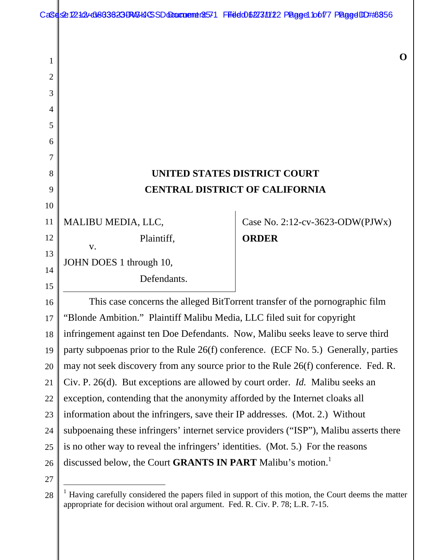|                     | CaSeSe 122121-0803623BRGKICSDologomemen3571 FFFedd6223/1/22 Plaged 106f7 PlagedDD##6856                                                                                              |                                 |
|---------------------|--------------------------------------------------------------------------------------------------------------------------------------------------------------------------------------|---------------------------------|
|                     |                                                                                                                                                                                      |                                 |
|                     |                                                                                                                                                                                      | $\Omega$                        |
| 1                   |                                                                                                                                                                                      |                                 |
| $\overline{c}$<br>3 |                                                                                                                                                                                      |                                 |
| $\overline{4}$      |                                                                                                                                                                                      |                                 |
| 5                   |                                                                                                                                                                                      |                                 |
| 6                   |                                                                                                                                                                                      |                                 |
| 7                   |                                                                                                                                                                                      |                                 |
| 8                   | UNITED STATES DISTRICT COURT                                                                                                                                                         |                                 |
| 9                   | <b>CENTRAL DISTRICT OF CALIFORNIA</b>                                                                                                                                                |                                 |
| 10                  |                                                                                                                                                                                      |                                 |
| 11                  | MALIBU MEDIA, LLC,                                                                                                                                                                   | Case No. 2:12-cv-3623-ODW(PJWx) |
| 12                  | Plaintiff,<br>V.                                                                                                                                                                     | <b>ORDER</b>                    |
| 13                  | JOHN DOES 1 through 10,                                                                                                                                                              |                                 |
| 14                  | Defendants.                                                                                                                                                                          |                                 |
| 15                  |                                                                                                                                                                                      |                                 |
| 16                  | This case concerns the alleged BitTorrent transfer of the pornographic film                                                                                                          |                                 |
| 17                  | "Blonde Ambition." Plaintiff Malibu Media, LLC filed suit for copyright                                                                                                              |                                 |
| 18                  | infringement against ten Doe Defendants. Now, Malibu seeks leave to serve third                                                                                                      |                                 |
| 19<br>20            | party subpoenas prior to the Rule 26(f) conference. (ECF No. 5.) Generally, parties<br>may not seek discovery from any source prior to the Rule 26(f) conference. Fed. R.            |                                 |
| 21                  | Civ. P. 26(d). But exceptions are allowed by court order. <i>Id.</i> Malibu seeks an                                                                                                 |                                 |
| 22                  | exception, contending that the anonymity afforded by the Internet cloaks all                                                                                                         |                                 |
| 23                  | information about the infringers, save their IP addresses. (Mot. 2.) Without                                                                                                         |                                 |
| 24                  | subpoenaing these infringers' internet service providers ("ISP"), Malibu asserts there                                                                                               |                                 |
| 25                  | is no other way to reveal the infringers' identities. (Mot. 5.) For the reasons                                                                                                      |                                 |
| 26                  | discussed below, the Court GRANTS IN PART Malibu's motion. <sup>1</sup>                                                                                                              |                                 |
| 27                  |                                                                                                                                                                                      |                                 |
| 28                  | Having carefully considered the papers filed in support of this motion, the Court deems the matter<br>appropriate for decision without oral argument. Fed. R. Civ. P. 78; L.R. 7-15. |                                 |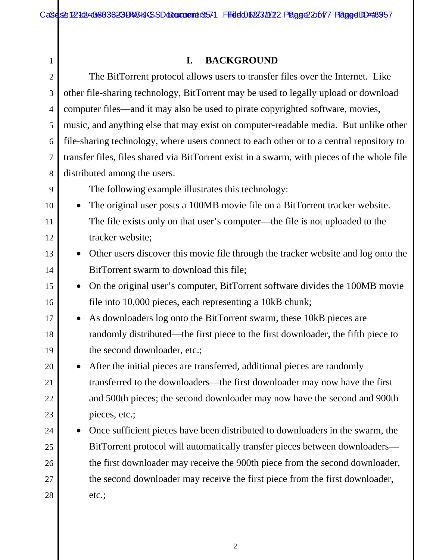# **I. BACKGROUND**

The BitTorrent protocol allows users to transfer files over the Internet. Like other file-sharing technology, BitTorrent may be used to legally upload or download computer files—and it may also be used to pirate copyrighted software, movies, music, and anything else that may exist on computer-readable media. But unlike other file-sharing technology, where users connect to each other or to a central repository to transfer files, files shared via BitTorrent exist in a swarm, with pieces of the whole file distributed among the users.

1

2

3

4

5

6

7

8

9

10

11

12

13

14

15

16

17

18

19

20

21

22

23

24

25

26

27

28

The following example illustrates this technology:

- The original user posts a 100MB movie file on a BitTorrent tracker website. The file exists only on that user's computer—the file is not uploaded to the tracker website;
	- Other users discover this movie file through the tracker website and log onto the BitTorrent swarm to download this file;
	- On the original user's computer, BitTorrent software divides the 100MB movie file into 10,000 pieces, each representing a 10kB chunk;
- As downloaders log onto the BitTorrent swarm, these 10kB pieces are randomly distributed—the first piece to the first downloader, the fifth piece to the second downloader, etc.;
	- After the initial pieces are transferred, additional pieces are randomly transferred to the downloaders—the first downloader may now have the first and 500th pieces; the second downloader may now have the second and 900th pieces, etc.;
- Once sufficient pieces have been distributed to downloaders in the swarm, the BitTorrent protocol will automatically transfer pieces between downloaders the first downloader may receive the 900th piece from the second downloader, the second downloader may receive the first piece from the first downloader, etc.;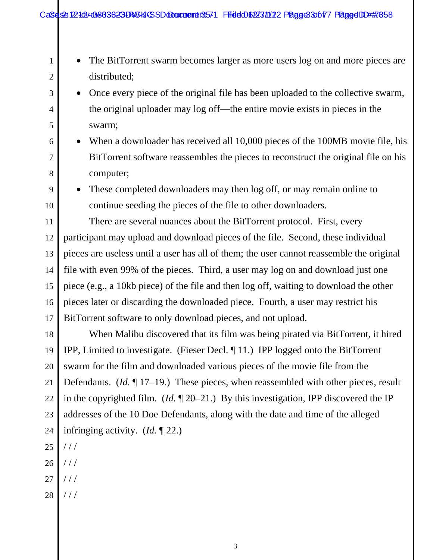- The BitTorrent swarm becomes larger as more users log on and more pieces are distributed;
- Once every piece of the original file has been uploaded to the collective swarm, the original uploader may log off—the entire movie exists in pieces in the swarm;
- When a downloader has received all 10,000 pieces of the 100MB movie file, his BitTorrent software reassembles the pieces to reconstruct the original file on his computer;
- These completed downloaders may then log off, or may remain online to continue seeding the pieces of the file to other downloaders.

There are several nuances about the BitTorrent protocol. First, every participant may upload and download pieces of the file. Second, these individual pieces are useless until a user has all of them; the user cannot reassemble the original file with even 99% of the pieces. Third, a user may log on and download just one piece (e.g., a 10kb piece) of the file and then log off, waiting to download the other pieces later or discarding the downloaded piece. Fourth, a user may restrict his BitTorrent software to only download pieces, and not upload.

18 19 20 21 22 23 24 When Malibu discovered that its film was being pirated via BitTorrent, it hired IPP, Limited to investigate. (Fieser Decl. ¶ 11.) IPP logged onto the BitTorrent swarm for the film and downloaded various pieces of the movie file from the Defendants. (*Id.* 17–19.) These pieces, when reassembled with other pieces, result in the copyrighted film. (*Id.* ¶ 20–21.) By this investigation, IPP discovered the IP addresses of the 10 Doe Defendants, along with the date and time of the alleged infringing activity. (*Id.* ¶ 22.)

25 26  $///$ / / /

1

2

3

4

5

6

7

8

9

10

11

12

13

14

15

16

17

- 27  $//$
- 28 / / /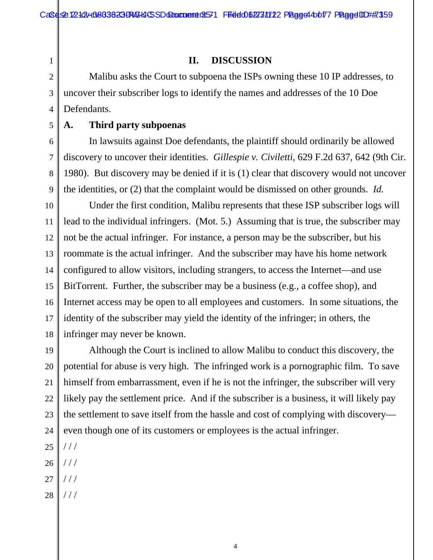#### **II. DISCUSSION**

Malibu asks the Court to subpoena the ISPs owning these 10 IP addresses, to uncover their subscriber logs to identify the names and addresses of the 10 Doe Defendants.

### **A. Third party subpoenas**

1

2

3

4

5

6

7

8

9

In lawsuits against Doe defendants, the plaintiff should ordinarily be allowed discovery to uncover their identities. *Gillespie v. Civiletti*, 629 F.2d 637, 642 (9th Cir. 1980). But discovery may be denied if it is (1) clear that discovery would not uncover the identities, or (2) that the complaint would be dismissed on other grounds. *Id.* 

10 11 12 13 14 15 16 17 18 Under the first condition, Malibu represents that these ISP subscriber logs will lead to the individual infringers. (Mot. 5.) Assuming that is true, the subscriber may not be the actual infringer. For instance, a person may be the subscriber, but his roommate is the actual infringer. And the subscriber may have his home network configured to allow visitors, including strangers, to access the Internet—and use BitTorrent. Further, the subscriber may be a business (e.g., a coffee shop), and Internet access may be open to all employees and customers. In some situations, the identity of the subscriber may yield the identity of the infringer; in others, the infringer may never be known.

19 20 21 22 23 24 Although the Court is inclined to allow Malibu to conduct this discovery, the potential for abuse is very high. The infringed work is a pornographic film. To save himself from embarrassment, even if he is not the infringer, the subscriber will very likely pay the settlement price. And if the subscriber is a business, it will likely pay the settlement to save itself from the hassle and cost of complying with discovery even though one of its customers or employees is the actual infringer.

- 25 26  $//$ / / /
- 27  $//$
- 28 / / /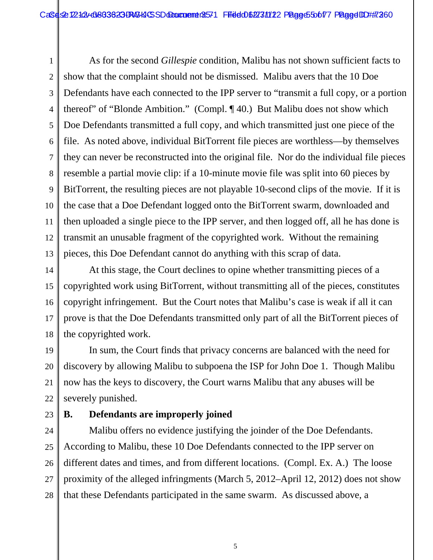1 2 3 4 5 6 7 8 9 10 11 12 13 As for the second *Gillespie* condition, Malibu has not shown sufficient facts to show that the complaint should not be dismissed. Malibu avers that the 10 Doe Defendants have each connected to the IPP server to "transmit a full copy, or a portion thereof" of "Blonde Ambition." (Compl. ¶ 40.) But Malibu does not show which Doe Defendants transmitted a full copy, and which transmitted just one piece of the file. As noted above, individual BitTorrent file pieces are worthless—by themselves they can never be reconstructed into the original file. Nor do the individual file pieces resemble a partial movie clip: if a 10-minute movie file was split into 60 pieces by BitTorrent, the resulting pieces are not playable 10-second clips of the movie. If it is the case that a Doe Defendant logged onto the BitTorrent swarm, downloaded and then uploaded a single piece to the IPP server, and then logged off, all he has done is transmit an unusable fragment of the copyrighted work. Without the remaining pieces, this Doe Defendant cannot do anything with this scrap of data.

14 15 16 17 18 At this stage, the Court declines to opine whether transmitting pieces of a copyrighted work using BitTorrent, without transmitting all of the pieces, constitutes copyright infringement. But the Court notes that Malibu's case is weak if all it can prove is that the Doe Defendants transmitted only part of all the BitTorrent pieces of the copyrighted work.

19 20 21 22 In sum, the Court finds that privacy concerns are balanced with the need for discovery by allowing Malibu to subpoena the ISP for John Doe 1. Though Malibu now has the keys to discovery, the Court warns Malibu that any abuses will be severely punished.

# **B. Defendants are improperly joined**

23

24 25 26 27 28 Malibu offers no evidence justifying the joinder of the Doe Defendants. According to Malibu, these 10 Doe Defendants connected to the IPP server on different dates and times, and from different locations. (Compl. Ex. A.) The loose proximity of the alleged infringments (March 5, 2012–April 12, 2012) does not show that these Defendants participated in the same swarm. As discussed above, a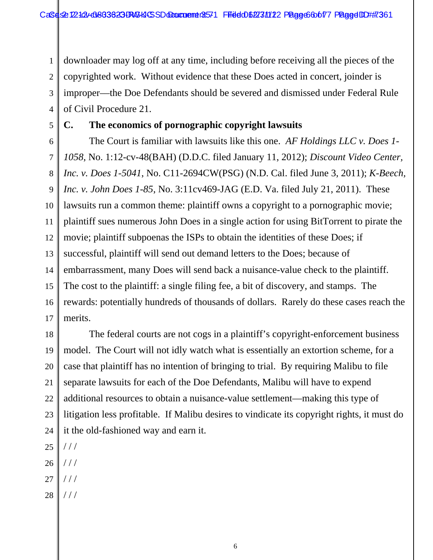1 2 3 4 downloader may log off at any time, including before receiving all the pieces of the copyrighted work. Without evidence that these Does acted in concert, joinder is improper––the Doe Defendants should be severed and dismissed under Federal Rule of Civil Procedure 21.

# **C. The economics of pornographic copyright lawsuits**

6 7 8 9 10 12 13 14 15 16 17 The Court is familiar with lawsuits like this one. *AF Holdings LLC v. Does 1- 1058*, No. 1:12-cv-48(BAH) (D.D.C. filed January 11, 2012); *Discount Video Center, Inc. v. Does 1-5041*, No. C11-2694CW(PSG) (N.D. Cal. filed June 3, 2011); *K-Beech, Inc. v. John Does 1-85*, No. 3:11cv469-JAG (E.D. Va. filed July 21, 2011). These lawsuits run a common theme: plaintiff owns a copyright to a pornographic movie; plaintiff sues numerous John Does in a single action for using BitTorrent to pirate the movie; plaintiff subpoenas the ISPs to obtain the identities of these Does; if successful, plaintiff will send out demand letters to the Does; because of embarrassment, many Does will send back a nuisance-value check to the plaintiff. The cost to the plaintiff: a single filing fee, a bit of discovery, and stamps. The rewards: potentially hundreds of thousands of dollars. Rarely do these cases reach the merits.

18 19 20 21 22 23 24 The federal courts are not cogs in a plaintiff's copyright-enforcement business model. The Court will not idly watch what is essentially an extortion scheme, for a case that plaintiff has no intention of bringing to trial. By requiring Malibu to file separate lawsuits for each of the Doe Defendants, Malibu will have to expend additional resources to obtain a nuisance-value settlement—making this type of litigation less profitable. If Malibu desires to vindicate its copyright rights, it must do it the old-fashioned way and earn it.

25 26  $//$ / / /

5

11

- 27  $//$
- 28 / / /